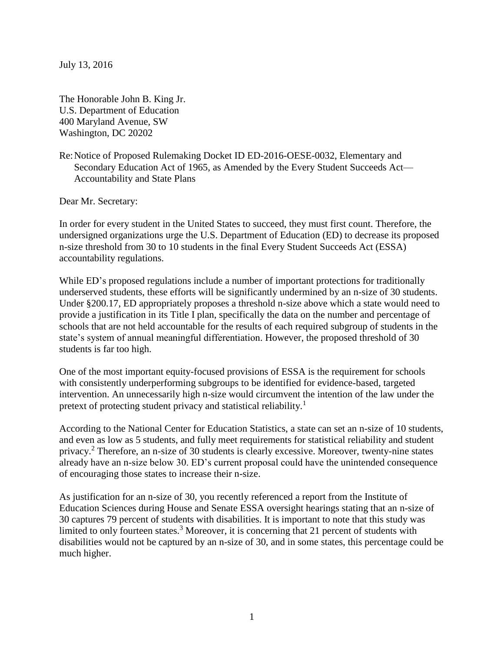July 13, 2016

The Honorable John B. King Jr. U.S. Department of Education 400 Maryland Avenue, SW Washington, DC 20202

Re:Notice of Proposed Rulemaking Docket ID ED-2016-OESE-0032, Elementary and Secondary Education Act of 1965, as Amended by the Every Student Succeeds Act— Accountability and State Plans

Dear Mr. Secretary:

In order for every student in the United States to succeed, they must first count. Therefore, the undersigned organizations urge the U.S. Department of Education (ED) to decrease its proposed n-size threshold from 30 to 10 students in the final Every Student Succeeds Act (ESSA) accountability regulations.

While ED's proposed regulations include a number of important protections for traditionally underserved students, these efforts will be significantly undermined by an n-size of 30 students. Under §200.17, ED appropriately proposes a threshold n-size above which a state would need to provide a justification in its Title I plan, specifically the data on the number and percentage of schools that are not held accountable for the results of each required subgroup of students in the state's system of annual meaningful differentiation. However, the proposed threshold of 30 students is far too high.

One of the most important equity-focused provisions of ESSA is the requirement for schools with consistently underperforming subgroups to be identified for evidence-based, targeted intervention. An unnecessarily high n-size would circumvent the intention of the law under the pretext of protecting student privacy and statistical reliability.<sup>1</sup>

According to the National Center for Education Statistics, a state can set an n-size of 10 students, and even as low as 5 students, and fully meet requirements for statistical reliability and student privacy.<sup>2</sup> Therefore, an n-size of 30 students is clearly excessive. Moreover, twenty-nine states already have an n-size below 30. ED's current proposal could have the unintended consequence of encouraging those states to increase their n-size.

As justification for an n-size of 30, you recently referenced a report from the Institute of Education Sciences during House and Senate ESSA oversight hearings stating that an n-size of 30 captures 79 percent of students with disabilities. It is important to note that this study was limited to only fourteen states.<sup>3</sup> Moreover, it is concerning that 21 percent of students with disabilities would not be captured by an n-size of 30, and in some states, this percentage could be much higher.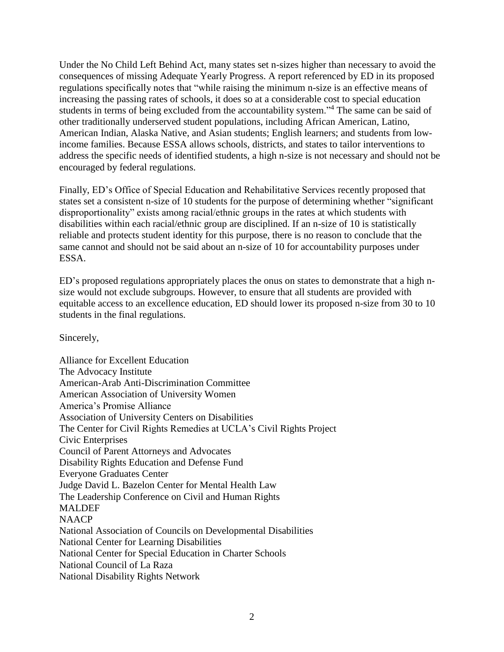Under the No Child Left Behind Act, many states set n-sizes higher than necessary to avoid the consequences of missing Adequate Yearly Progress. A report referenced by ED in its proposed regulations specifically notes that "while raising the minimum n-size is an effective means of increasing the passing rates of schools, it does so at a considerable cost to special education students in terms of being excluded from the accountability system."<sup>4</sup> The same can be said of other traditionally underserved student populations, including African American, Latino, American Indian, Alaska Native, and Asian students; English learners; and students from lowincome families. Because ESSA allows schools, districts, and states to tailor interventions to address the specific needs of identified students, a high n-size is not necessary and should not be encouraged by federal regulations.

Finally, ED's Office of Special Education and Rehabilitative Services recently proposed that states set a consistent n-size of 10 students for the purpose of determining whether "significant disproportionality" exists among racial/ethnic groups in the rates at which students with disabilities within each racial/ethnic group are disciplined. If an n-size of 10 is statistically reliable and protects student identity for this purpose, there is no reason to conclude that the same cannot and should not be said about an n-size of 10 for accountability purposes under ESSA.

ED's proposed regulations appropriately places the onus on states to demonstrate that a high nsize would not exclude subgroups. However, to ensure that all students are provided with equitable access to an excellence education, ED should lower its proposed n-size from 30 to 10 students in the final regulations.

Sincerely,

Alliance for Excellent Education The Advocacy Institute American-Arab Anti-Discrimination Committee American Association of University Women America's Promise Alliance Association of University Centers on Disabilities The Center for Civil Rights Remedies at UCLA's Civil Rights Project Civic Enterprises Council of Parent Attorneys and Advocates Disability Rights Education and Defense Fund Everyone Graduates Center Judge David L. Bazelon Center for Mental Health Law The Leadership Conference on Civil and Human Rights MALDEF NAACP National Association of Councils on Developmental Disabilities National Center for Learning Disabilities National Center for Special Education in Charter Schools National Council of La Raza National Disability Rights Network